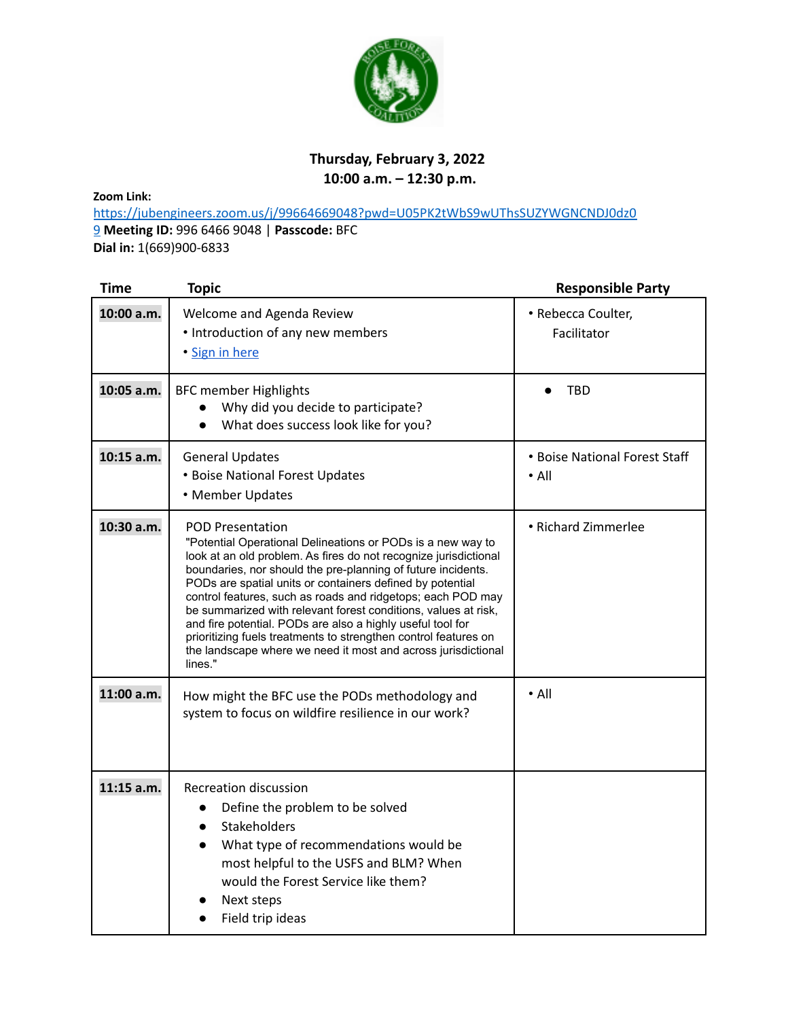

## **Thursday, February 3, 2022 10:00 a.m. – 12:30 p.m.**

**Zoom Link:**

https://jubengineers.zoom.us/j/99664669048?pwd=U05PK2tWbS9wUThsSUZYWGNCNDJ0dz0 9 **Meeting ID:** 996 6466 9048 | **Passcode:** BFC **Dial in:** 1(669)900-6833

| <b>Time</b>  | <b>Topic</b>                                                                                                                                                                                                                                                                                                                                                                                                                                                                                                                                                                                                                          | <b>Responsible Party</b>                     |
|--------------|---------------------------------------------------------------------------------------------------------------------------------------------------------------------------------------------------------------------------------------------------------------------------------------------------------------------------------------------------------------------------------------------------------------------------------------------------------------------------------------------------------------------------------------------------------------------------------------------------------------------------------------|----------------------------------------------|
| 10:00 a.m.   | Welcome and Agenda Review<br>• Introduction of any new members<br>· Sign in here                                                                                                                                                                                                                                                                                                                                                                                                                                                                                                                                                      | • Rebecca Coulter,<br>Facilitator            |
| 10:05 a.m.   | <b>BFC member Highlights</b><br>Why did you decide to participate?<br>What does success look like for you?                                                                                                                                                                                                                                                                                                                                                                                                                                                                                                                            | <b>TBD</b>                                   |
| 10:15 a.m.   | <b>General Updates</b><br>• Boise National Forest Updates<br>• Member Updates                                                                                                                                                                                                                                                                                                                                                                                                                                                                                                                                                         | • Boise National Forest Staff<br>$\cdot$ All |
| 10:30 a.m.   | <b>POD Presentation</b><br>"Potential Operational Delineations or PODs is a new way to<br>look at an old problem. As fires do not recognize jurisdictional<br>boundaries, nor should the pre-planning of future incidents.<br>PODs are spatial units or containers defined by potential<br>control features, such as roads and ridgetops; each POD may<br>be summarized with relevant forest conditions, values at risk,<br>and fire potential. PODs are also a highly useful tool for<br>prioritizing fuels treatments to strengthen control features on<br>the landscape where we need it most and across jurisdictional<br>lines." | • Richard Zimmerlee                          |
| 11:00 a.m.   | How might the BFC use the PODs methodology and<br>system to focus on wildfire resilience in our work?                                                                                                                                                                                                                                                                                                                                                                                                                                                                                                                                 | $\bullet$ All                                |
| $11:15$ a.m. | <b>Recreation discussion</b><br>Define the problem to be solved<br>$\bullet$<br>Stakeholders<br>$\bullet$<br>What type of recommendations would be<br>$\bullet$<br>most helpful to the USFS and BLM? When<br>would the Forest Service like them?<br>Next steps<br>Field trip ideas                                                                                                                                                                                                                                                                                                                                                    |                                              |